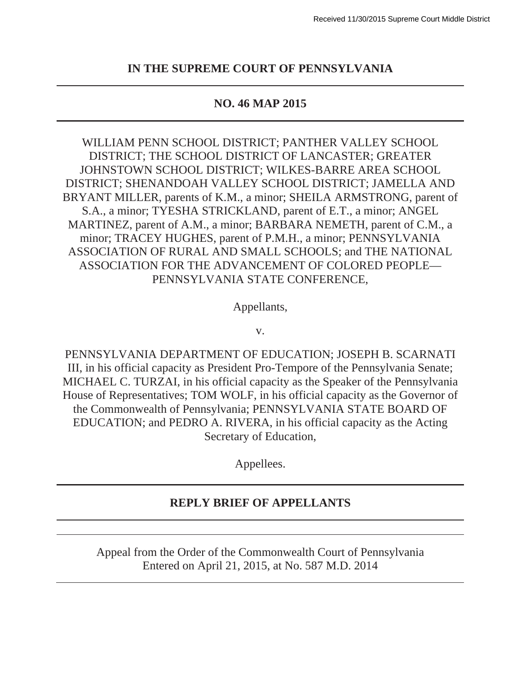### **IN THE SUPREME COURT OF PENNSYLVANIA**

#### **NO. 46 MAP 2015**

WILLIAM PENN SCHOOL DISTRICT; PANTHER VALLEY SCHOOL DISTRICT; THE SCHOOL DISTRICT OF LANCASTER; GREATER JOHNSTOWN SCHOOL DISTRICT; WILKES-BARRE AREA SCHOOL DISTRICT; SHENANDOAH VALLEY SCHOOL DISTRICT; JAMELLA AND BRYANT MILLER, parents of K.M., a minor; SHEILA ARMSTRONG, parent of S.A., a minor; TYESHA STRICKLAND, parent of E.T., a minor; ANGEL MARTINEZ, parent of A.M., a minor; BARBARA NEMETH, parent of C.M., a minor; TRACEY HUGHES, parent of P.M.H., a minor; PENNSYLVANIA ASSOCIATION OF RURAL AND SMALL SCHOOLS; and THE NATIONAL ASSOCIATION FOR THE ADVANCEMENT OF COLORED PEOPLE— PENNSYLVANIA STATE CONFERENCE,

Appellants,

v.

PENNSYLVANIA DEPARTMENT OF EDUCATION; JOSEPH B. SCARNATI III, in his official capacity as President Pro-Tempore of the Pennsylvania Senate; MICHAEL C. TURZAI, in his official capacity as the Speaker of the Pennsylvania House of Representatives; TOM WOLF, in his official capacity as the Governor of the Commonwealth of Pennsylvania; PENNSYLVANIA STATE BOARD OF EDUCATION; and PEDRO A. RIVERA, in his official capacity as the Acting Secretary of Education,

Appellees.

### **REPLY BRIEF OF APPELLANTS**

Appeal from the Order of the Commonwealth Court of Pennsylvania Entered on April 21, 2015, at No. 587 M.D. 2014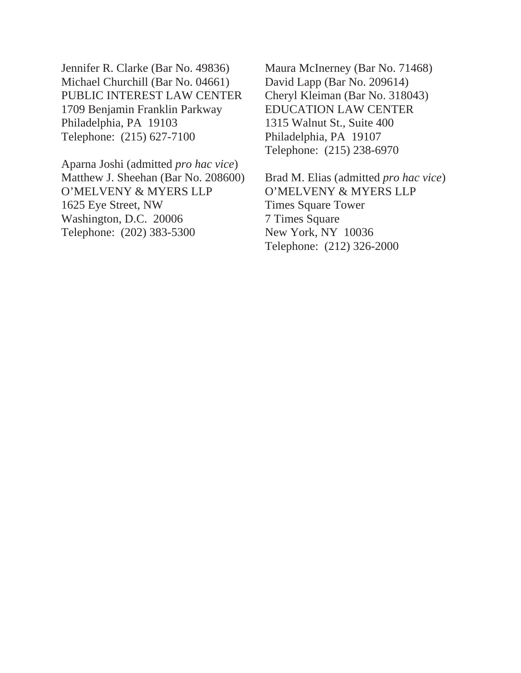Jennifer R. Clarke (Bar No. 49836) Michael Churchill (Bar No. 04661) PUBLIC INTEREST LAW CENTER 1709 Benjamin Franklin Parkway Philadelphia, PA 19103 Telephone: (215) 627-7100

Aparna Joshi (admitted *pro hac vice*) Matthew J. Sheehan (Bar No. 208600) O'MELVENY & MYERS LLP 1625 Eye Street, NW Washington, D.C. 20006 Telephone: (202) 383-5300

Maura McInerney (Bar No. 71468) David Lapp (Bar No. 209614) Cheryl Kleiman (Bar No. 318043) EDUCATION LAW CENTER 1315 Walnut St., Suite 400 Philadelphia, PA 19107 Telephone: (215) 238-6970

Brad M. Elias (admitted *pro hac vice*) O'MELVENY & MYERS LLP Times Square Tower 7 Times Square New York, NY 10036 Telephone: (212) 326-2000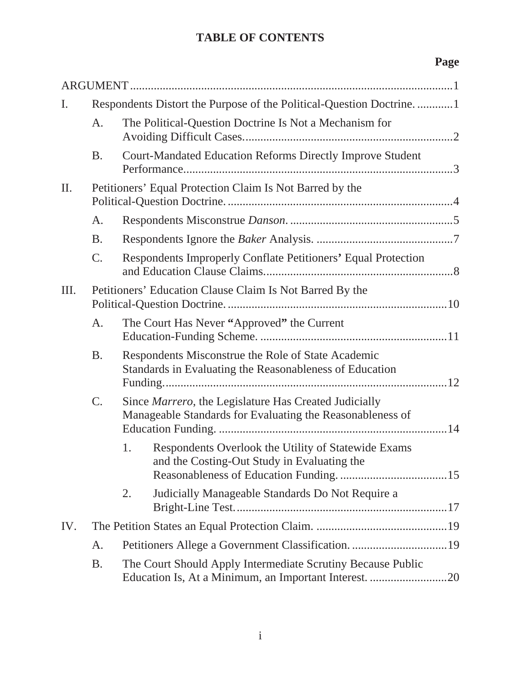## **TABLE OF CONTENTS**

# **Page**

| $\mathbf{I}$ . | Respondents Distort the Purpose of the Political-Question Doctrine1 |                                                                                                               |                                                                                                                      |  |
|----------------|---------------------------------------------------------------------|---------------------------------------------------------------------------------------------------------------|----------------------------------------------------------------------------------------------------------------------|--|
|                | A.                                                                  | The Political-Question Doctrine Is Not a Mechanism for                                                        |                                                                                                                      |  |
|                | <b>B.</b>                                                           |                                                                                                               | <b>Court-Mandated Education Reforms Directly Improve Student</b>                                                     |  |
| $\prod$ .      | Petitioners' Equal Protection Claim Is Not Barred by the            |                                                                                                               |                                                                                                                      |  |
|                | A.                                                                  |                                                                                                               |                                                                                                                      |  |
|                | <b>B.</b>                                                           |                                                                                                               |                                                                                                                      |  |
|                | C.                                                                  |                                                                                                               | Respondents Improperly Conflate Petitioners' Equal Protection                                                        |  |
| Ш.             | Petitioners' Education Clause Claim Is Not Barred By the            |                                                                                                               |                                                                                                                      |  |
|                | A.                                                                  |                                                                                                               | The Court Has Never "Approved" the Current                                                                           |  |
|                | <b>B.</b>                                                           | Respondents Misconstrue the Role of State Academic<br>Standards in Evaluating the Reasonableness of Education |                                                                                                                      |  |
|                | C.                                                                  |                                                                                                               | Since Marrero, the Legislature Has Created Judicially<br>Manageable Standards for Evaluating the Reasonableness of   |  |
|                |                                                                     | 1.                                                                                                            | Respondents Overlook the Utility of Statewide Exams<br>and the Costing-Out Study in Evaluating the                   |  |
|                |                                                                     | 2.                                                                                                            | Judicially Manageable Standards Do Not Require a                                                                     |  |
| IV.            |                                                                     |                                                                                                               |                                                                                                                      |  |
|                | A.                                                                  |                                                                                                               |                                                                                                                      |  |
|                | <b>B.</b>                                                           |                                                                                                               | The Court Should Apply Intermediate Scrutiny Because Public<br>Education Is, At a Minimum, an Important Interest. 20 |  |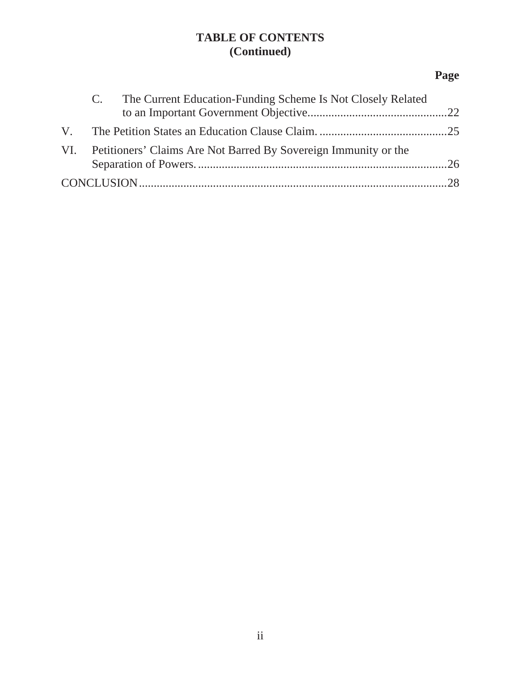## **TABLE OF CONTENTS (Continued)**

# **Page**

| C. The Current Education-Funding Scheme Is Not Closely Related      |  |
|---------------------------------------------------------------------|--|
|                                                                     |  |
| VI. Petitioners' Claims Are Not Barred By Sovereign Immunity or the |  |
|                                                                     |  |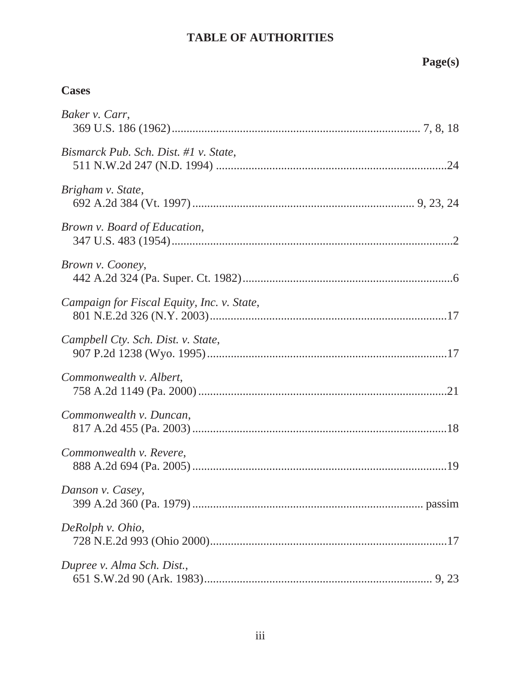## **TABLE OF AUTHORITIES**

# **Page(s)**

## **Cases**

| Baker v. Carr,                             |
|--------------------------------------------|
| Bismarck Pub. Sch. Dist. #1 v. State,      |
| Brigham v. State,                          |
| Brown v. Board of Education,               |
| Brown v. Cooney,                           |
| Campaign for Fiscal Equity, Inc. v. State, |
| Campbell Cty. Sch. Dist. v. State,         |
| Commonwealth v. Albert,                    |
| Commonwealth v. Duncan,                    |
| Commonwealth v. Revere,                    |
| Danson v. Casey,                           |
| DeRolph v. Ohio,                           |
| Dupree v. Alma Sch. Dist.,                 |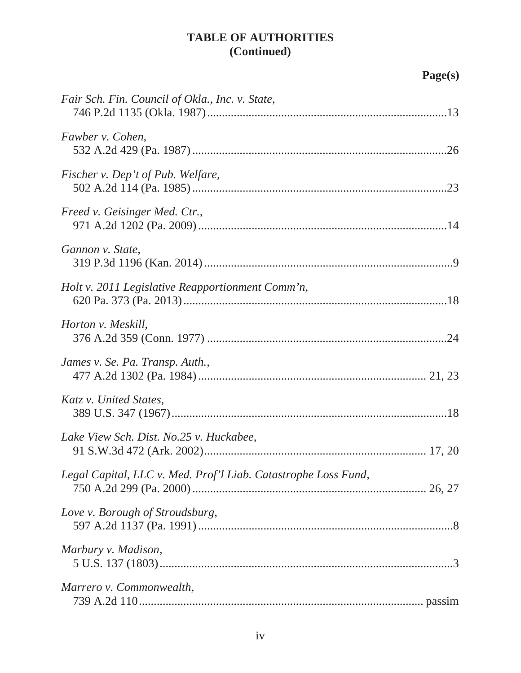|                                                                | Page(s) |
|----------------------------------------------------------------|---------|
| Fair Sch. Fin. Council of Okla., Inc. v. State,                |         |
| Fawber v. Cohen,                                               |         |
| Fischer v. Dep't of Pub. Welfare,                              |         |
| Freed v. Geisinger Med. Ctr.,                                  |         |
| Gannon v. State,                                               |         |
| Holt v. 2011 Legislative Reapportionment Comm'n,               |         |
| Horton v. Meskill,                                             |         |
| James v. Se. Pa. Transp. Auth.,                                |         |
| Katz v. United States,                                         |         |
| Lake View Sch. Dist. No.25 v. Huckabee,                        |         |
| Legal Capital, LLC v. Med. Prof'l Liab. Catastrophe Loss Fund, |         |
| Love v. Borough of Stroudsburg,                                |         |
| Marbury v. Madison,                                            |         |
| Marrero v. Commonwealth,                                       |         |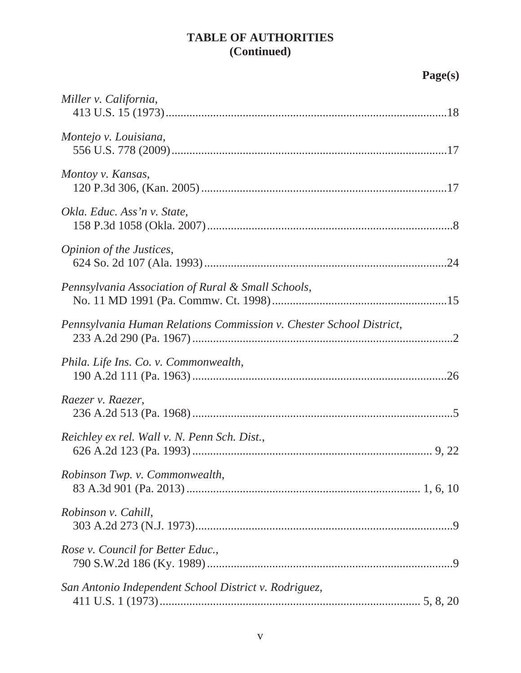# **Page(s)**

| Miller v. California,                                               |
|---------------------------------------------------------------------|
| Montejo v. Louisiana,                                               |
| Montoy v. Kansas,                                                   |
| Okla. Educ. Ass'n v. State,                                         |
| Opinion of the Justices,                                            |
| Pennsylvania Association of Rural & Small Schools,                  |
| Pennsylvania Human Relations Commission v. Chester School District, |
| Phila. Life Ins. Co. v. Commonwealth,                               |
| Raezer v. Raezer,                                                   |
| Reichley ex rel. Wall v. N. Penn Sch. Dist.,                        |
| Robinson Twp. v. Commonwealth,                                      |
| Robinson v. Cahill,                                                 |
| Rose v. Council for Better Educ.,                                   |
| San Antonio Independent School District v. Rodriguez,               |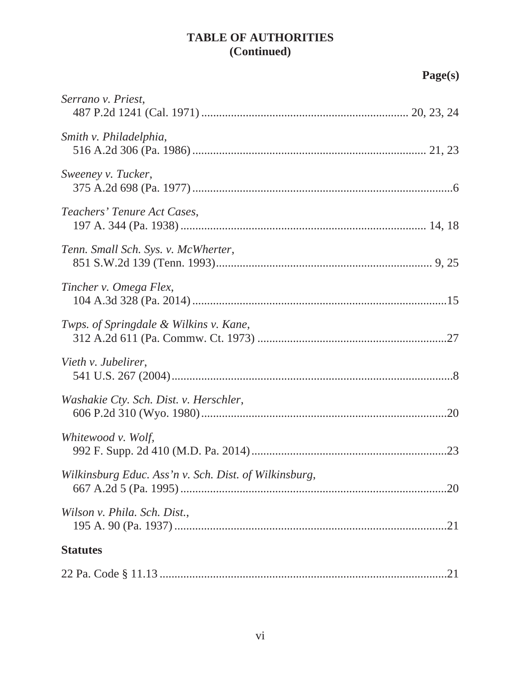**Page(s)**

| Serrano v. Priest,                                    |
|-------------------------------------------------------|
|                                                       |
| Smith v. Philadelphia,                                |
| Sweeney v. Tucker,                                    |
| Teachers' Tenure Act Cases,                           |
| Tenn. Small Sch. Sys. v. McWherter,                   |
| Tincher v. Omega Flex,                                |
| Twps. of Springdale & Wilkins v. Kane,                |
| Vieth v. Jubelirer,                                   |
| Washakie Cty. Sch. Dist. v. Herschler,                |
| Whitewood v. Wolf,                                    |
| Wilkinsburg Educ. Ass'n v. Sch. Dist. of Wilkinsburg, |
| Wilson v. Phila. Sch. Dist.,                          |
| <b>Statutes</b>                                       |
|                                                       |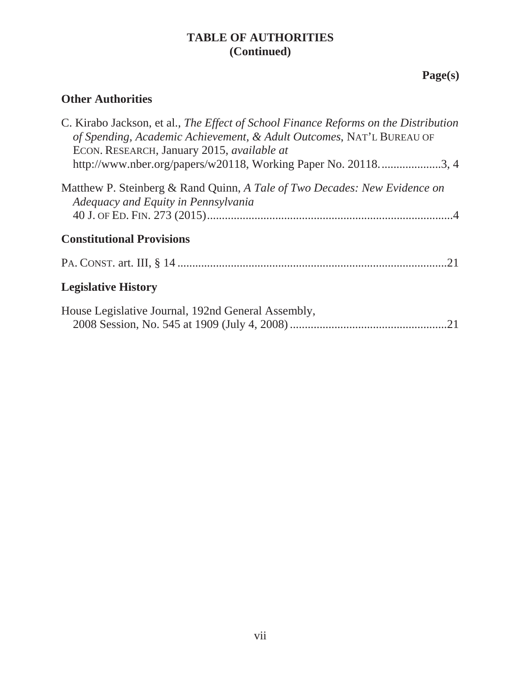# **Page(s)**

## **Other Authorities**

| C. Kirabo Jackson, et al., The Effect of School Finance Reforms on the Distribution<br>of Spending, Academic Achievement, & Adult Outcomes, NAT'L BUREAU OF<br>ECON. RESEARCH, January 2015, <i>available at</i> |
|------------------------------------------------------------------------------------------------------------------------------------------------------------------------------------------------------------------|
| http://www.nber.org/papers/w20118, Working Paper No. 201183, 4                                                                                                                                                   |
| Matthew P. Steinberg & Rand Quinn, A Tale of Two Decades: New Evidence on<br>Adequacy and Equity in Pennsylvania                                                                                                 |
|                                                                                                                                                                                                                  |
| <b>Constitutional Provisions</b>                                                                                                                                                                                 |
| .21                                                                                                                                                                                                              |
| <b>Legislative History</b>                                                                                                                                                                                       |
| House Legislative Journal, 192nd General Assembly,                                                                                                                                                               |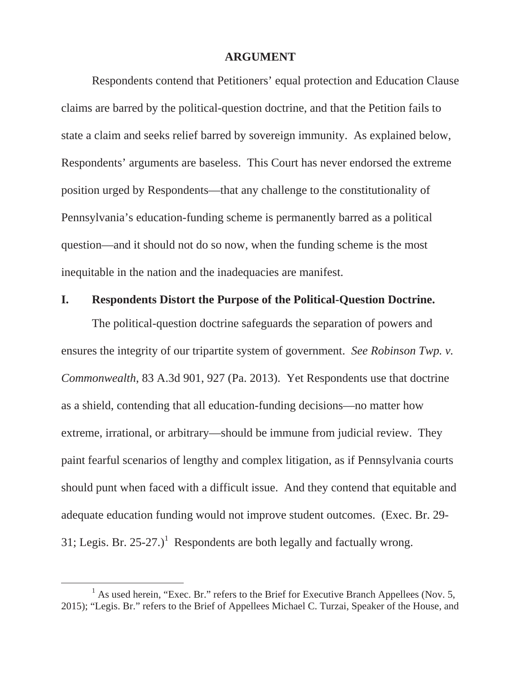#### **ARGUMENT**

Respondents contend that Petitioners' equal protection and Education Clause claims are barred by the political-question doctrine, and that the Petition fails to state a claim and seeks relief barred by sovereign immunity. As explained below, Respondents' arguments are baseless. This Court has never endorsed the extreme position urged by Respondents—that any challenge to the constitutionality of Pennsylvania's education-funding scheme is permanently barred as a political question—and it should not do so now, when the funding scheme is the most inequitable in the nation and the inadequacies are manifest.

#### **I. Respondents Distort the Purpose of the Political-Question Doctrine.**

The political-question doctrine safeguards the separation of powers and ensures the integrity of our tripartite system of government. *See Robinson Twp. v. Commonwealth*, 83 A.3d 901, 927 (Pa. 2013). Yet Respondents use that doctrine as a shield, contending that all education-funding decisions—no matter how extreme, irrational, or arbitrary—should be immune from judicial review. They paint fearful scenarios of lengthy and complex litigation, as if Pennsylvania courts should punt when faced with a difficult issue. And they contend that equitable and adequate education funding would not improve student outcomes. (Exec. Br. 29- 31; Legis. Br. 25-27.)<sup>1</sup> Respondents are both legally and factually wrong.

 $\frac{1}{1}$ <sup>1</sup> As used herein, "Exec. Br." refers to the Brief for Executive Branch Appellees (Nov. 5, 2015); "Legis. Br." refers to the Brief of Appellees Michael C. Turzai, Speaker of the House, and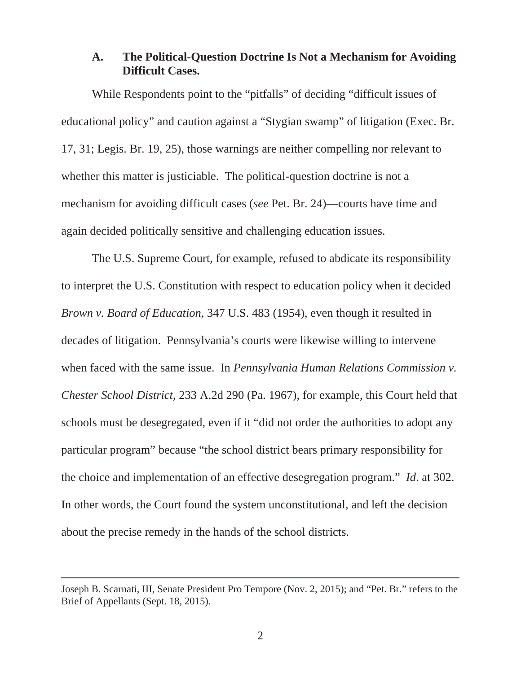### **A. The Political-Question Doctrine Is Not a Mechanism for Avoiding Difficult Cases.**

While Respondents point to the "pitfalls" of deciding "difficult issues of educational policy" and caution against a "Stygian swamp" of litigation (Exec. Br. 17, 31; Legis. Br. 19, 25), those warnings are neither compelling nor relevant to whether this matter is justiciable. The political-question doctrine is not a mechanism for avoiding difficult cases (*see* Pet. Br. 24)—courts have time and again decided politically sensitive and challenging education issues.

The U.S. Supreme Court, for example, refused to abdicate its responsibility to interpret the U.S. Constitution with respect to education policy when it decided *Brown v. Board of Education*, 347 U.S. 483 (1954), even though it resulted in decades of litigation. Pennsylvania's courts were likewise willing to intervene when faced with the same issue. In *Pennsylvania Human Relations Commission v. Chester School District*, 233 A.2d 290 (Pa. 1967), for example, this Court held that schools must be desegregated, even if it "did not order the authorities to adopt any particular program" because "the school district bears primary responsibility for the choice and implementation of an effective desegregation program." *Id*. at 302. In other words, the Court found the system unconstitutional, and left the decision about the precise remedy in the hands of the school districts.

 $\overline{a}$ 

Joseph B. Scarnati, III, Senate President Pro Tempore (Nov. 2, 2015); and "Pet. Br." refers to the Brief of Appellants (Sept. 18, 2015).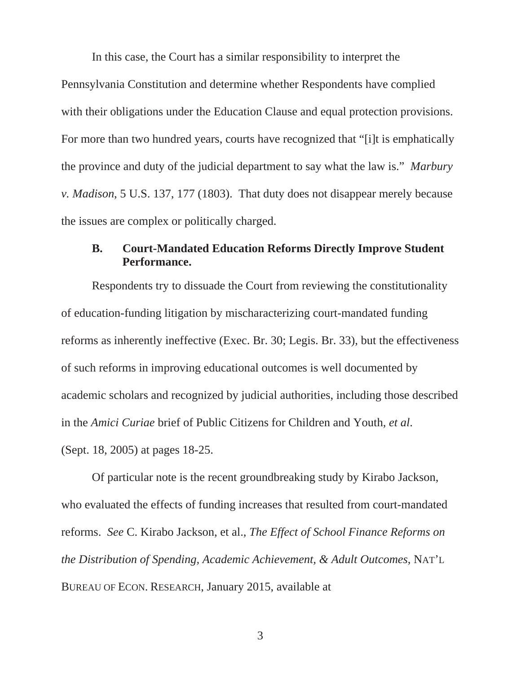In this case, the Court has a similar responsibility to interpret the

Pennsylvania Constitution and determine whether Respondents have complied with their obligations under the Education Clause and equal protection provisions. For more than two hundred years, courts have recognized that "[i]t is emphatically the province and duty of the judicial department to say what the law is." *Marbury v. Madison*, 5 U.S. 137, 177 (1803). That duty does not disappear merely because the issues are complex or politically charged.

### **B. Court-Mandated Education Reforms Directly Improve Student Performance.**

Respondents try to dissuade the Court from reviewing the constitutionality of education-funding litigation by mischaracterizing court-mandated funding reforms as inherently ineffective (Exec. Br. 30; Legis. Br. 33), but the effectiveness of such reforms in improving educational outcomes is well documented by academic scholars and recognized by judicial authorities, including those described in the *Amici Curiae* brief of Public Citizens for Children and Youth, *et al*. (Sept. 18, 2005) at pages 18-25.

Of particular note is the recent groundbreaking study by Kirabo Jackson, who evaluated the effects of funding increases that resulted from court-mandated reforms. *See* C. Kirabo Jackson, et al., *The Effect of School Finance Reforms on the Distribution of Spending, Academic Achievement, & Adult Outcomes*, NAT'L BUREAU OF ECON. RESEARCH, January 2015, available at

3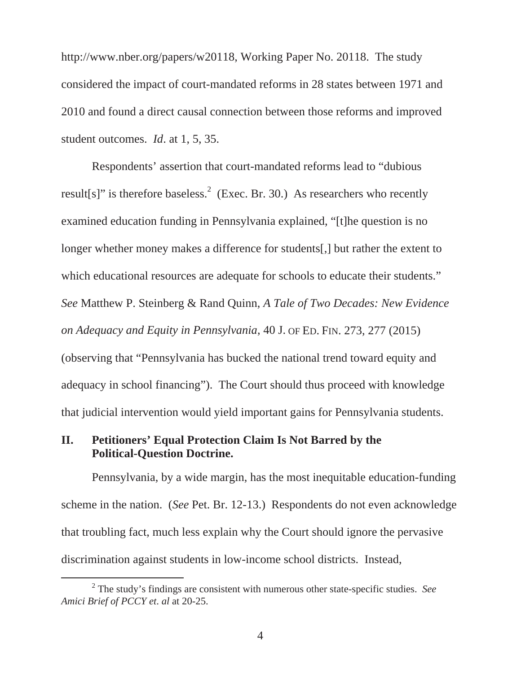http://www.nber.org/papers/w20118, Working Paper No. 20118. The study considered the impact of court-mandated reforms in 28 states between 1971 and 2010 and found a direct causal connection between those reforms and improved student outcomes. *Id*. at 1, 5, 35.

Respondents' assertion that court-mandated reforms lead to "dubious result[s]" is therefore baseless.<sup>2</sup> (Exec. Br. 30.) As researchers who recently examined education funding in Pennsylvania explained, "[t]he question is no longer whether money makes a difference for students[,] but rather the extent to which educational resources are adequate for schools to educate their students." *See* Matthew P. Steinberg & Rand Quinn, *A Tale of Two Decades: New Evidence on Adequacy and Equity in Pennsylvania*, 40 J. OF ED. FIN. 273, 277 (2015) (observing that "Pennsylvania has bucked the national trend toward equity and adequacy in school financing"). The Court should thus proceed with knowledge that judicial intervention would yield important gains for Pennsylvania students.

### **II. Petitioners' Equal Protection Claim Is Not Barred by the Political-Question Doctrine.**

Pennsylvania, by a wide margin, has the most inequitable education-funding scheme in the nation. (*See* Pet. Br. 12-13.) Respondents do not even acknowledge that troubling fact, much less explain why the Court should ignore the pervasive discrimination against students in low-income school districts. Instead,

 $\frac{1}{2}$  The study's findings are consistent with numerous other state-specific studies. *See Amici Brief of PCCY et*. *al* at 20-25.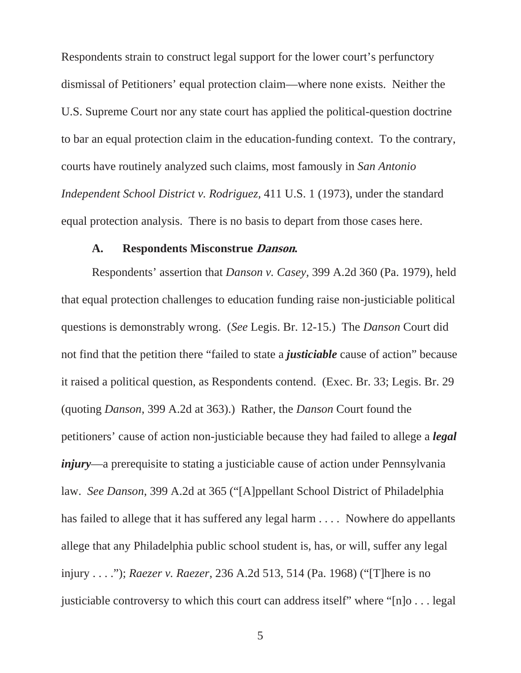Respondents strain to construct legal support for the lower court's perfunctory dismissal of Petitioners' equal protection claim—where none exists. Neither the U.S. Supreme Court nor any state court has applied the political-question doctrine to bar an equal protection claim in the education-funding context. To the contrary, courts have routinely analyzed such claims, most famously in *San Antonio Independent School District v. Rodriguez,* 411 U.S. 1 (1973), under the standard equal protection analysis. There is no basis to depart from those cases here.

#### **A. Respondents Misconstrue Danson.**

Respondents' assertion that *Danson v. Casey,* 399 A.2d 360 (Pa. 1979), held that equal protection challenges to education funding raise non-justiciable political questions is demonstrably wrong. (*See* Legis. Br. 12-15.) The *Danson* Court did not find that the petition there "failed to state a *justiciable* cause of action" because it raised a political question, as Respondents contend. (Exec. Br. 33; Legis. Br. 29 (quoting *Danson*, 399 A.2d at 363).) Rather, the *Danson* Court found the petitioners' cause of action non-justiciable because they had failed to allege a *legal injury*—a prerequisite to stating a justiciable cause of action under Pennsylvania law. *See Danson*, 399 A.2d at 365 ("[A]ppellant School District of Philadelphia has failed to allege that it has suffered any legal harm . . . . Nowhere do appellants allege that any Philadelphia public school student is, has, or will, suffer any legal injury . . . ."); *Raezer v. Raezer*, 236 A.2d 513, 514 (Pa. 1968) ("[T]here is no justiciable controversy to which this court can address itself" where "[n]o . . . legal

5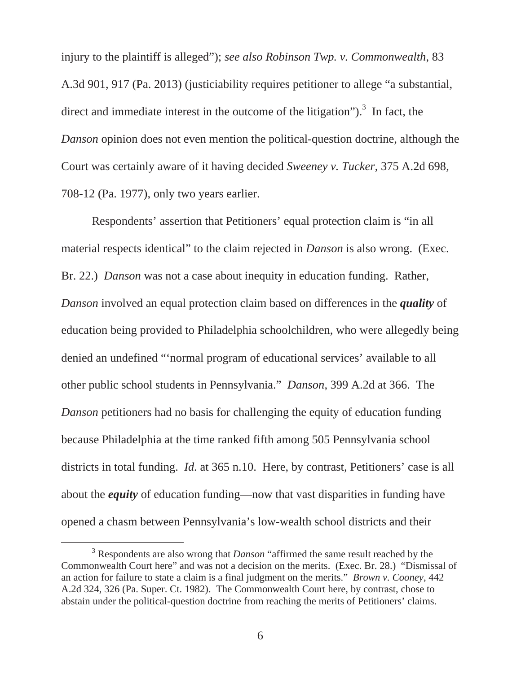injury to the plaintiff is alleged"); *see also Robinson Twp. v. Commonwealth*, 83 A.3d 901, 917 (Pa. 2013) (justiciability requires petitioner to allege "a substantial, direct and immediate interest in the outcome of the litigation").<sup>3</sup> In fact, the *Danson* opinion does not even mention the political-question doctrine, although the Court was certainly aware of it having decided *Sweeney v. Tucker*, 375 A.2d 698, 708-12 (Pa. 1977), only two years earlier.

Respondents' assertion that Petitioners' equal protection claim is "in all material respects identical" to the claim rejected in *Danson* is also wrong. (Exec. Br. 22.) *Danson* was not a case about inequity in education funding. Rather, *Danson* involved an equal protection claim based on differences in the *quality* of education being provided to Philadelphia schoolchildren, who were allegedly being denied an undefined "'normal program of educational services' available to all other public school students in Pennsylvania." *Danson*, 399 A.2d at 366. The *Danson* petitioners had no basis for challenging the equity of education funding because Philadelphia at the time ranked fifth among 505 Pennsylvania school districts in total funding. *Id.* at 365 n.10. Here, by contrast, Petitioners' case is all about the *equity* of education funding—now that vast disparities in funding have opened a chasm between Pennsylvania's low-wealth school districts and their

 $\frac{1}{3}$  Respondents are also wrong that *Danson* "affirmed the same result reached by the Commonwealth Court here" and was not a decision on the merits. (Exec. Br. 28.) "Dismissal of an action for failure to state a claim is a final judgment on the merits." *Brown v. Cooney*, 442 A.2d 324, 326 (Pa. Super. Ct. 1982). The Commonwealth Court here, by contrast, chose to abstain under the political-question doctrine from reaching the merits of Petitioners' claims.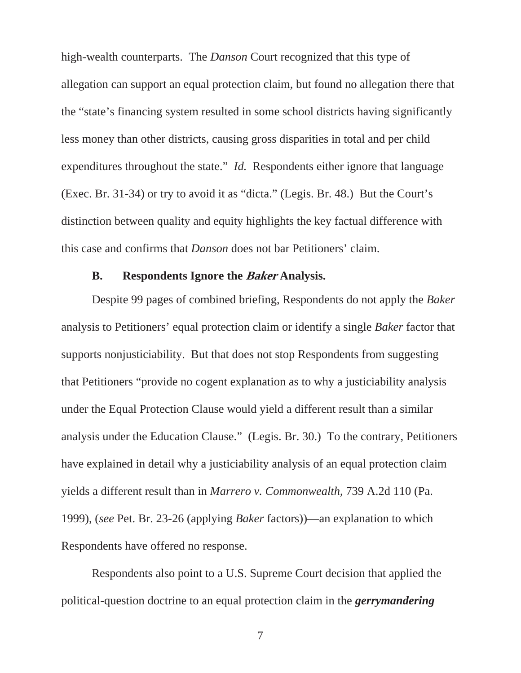high-wealth counterparts. The *Danson* Court recognized that this type of allegation can support an equal protection claim, but found no allegation there that the "state's financing system resulted in some school districts having significantly less money than other districts, causing gross disparities in total and per child expenditures throughout the state." *Id.* Respondents either ignore that language (Exec. Br. 31-34) or try to avoid it as "dicta." (Legis. Br. 48.) But the Court's distinction between quality and equity highlights the key factual difference with this case and confirms that *Danson* does not bar Petitioners' claim.

#### **B. Respondents Ignore the Baker Analysis.**

Despite 99 pages of combined briefing, Respondents do not apply the *Baker* analysis to Petitioners' equal protection claim or identify a single *Baker* factor that supports nonjusticiability. But that does not stop Respondents from suggesting that Petitioners "provide no cogent explanation as to why a justiciability analysis under the Equal Protection Clause would yield a different result than a similar analysis under the Education Clause." (Legis. Br. 30.) To the contrary, Petitioners have explained in detail why a justiciability analysis of an equal protection claim yields a different result than in *Marrero v. Commonwealth*, 739 A.2d 110 (Pa. 1999), (*see* Pet. Br. 23-26 (applying *Baker* factors))—an explanation to which Respondents have offered no response.

Respondents also point to a U.S. Supreme Court decision that applied the political-question doctrine to an equal protection claim in the *gerrymandering*

7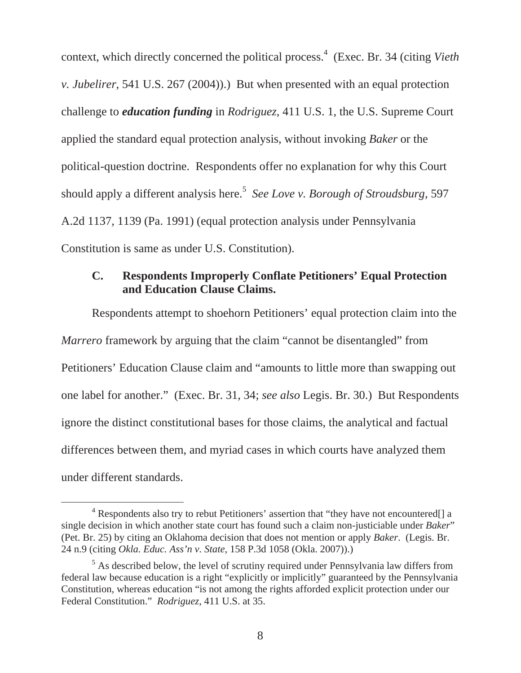context, which directly concerned the political process.<sup>4</sup> (Exec. Br. 34 (citing *Vieth*) *v. Jubelirer*, 541 U.S. 267 (2004)).) But when presented with an equal protection challenge to *education funding* in *Rodriguez*, 411 U.S. 1, the U.S. Supreme Court applied the standard equal protection analysis, without invoking *Baker* or the political-question doctrine. Respondents offer no explanation for why this Court should apply a different analysis here.<sup>5</sup> *See Love v. Borough of Stroudsburg*, 597 A.2d 1137, 1139 (Pa. 1991) (equal protection analysis under Pennsylvania Constitution is same as under U.S. Constitution).

### **C. Respondents Improperly Conflate Petitioners' Equal Protection and Education Clause Claims.**

Respondents attempt to shoehorn Petitioners' equal protection claim into the *Marrero* framework by arguing that the claim "cannot be disentangled" from Petitioners' Education Clause claim and "amounts to little more than swapping out one label for another." (Exec. Br. 31, 34; *see also* Legis. Br. 30.) But Respondents ignore the distinct constitutional bases for those claims, the analytical and factual differences between them, and myriad cases in which courts have analyzed them under different standards.

 $\begin{array}{c|c}\n\hline\n\end{array}$ <sup>4</sup> Respondents also try to rebut Petitioners' assertion that "they have not encountered[] a single decision in which another state court has found such a claim non-justiciable under *Baker*" (Pet. Br. 25) by citing an Oklahoma decision that does not mention or apply *Baker*. (Legis. Br. 24 n.9 (citing *Okla. Educ. Ass'n v. State*, 158 P.3d 1058 (Okla. 2007)).)

<sup>&</sup>lt;sup>5</sup> As described below, the level of scrutiny required under Pennsylvania law differs from federal law because education is a right "explicitly or implicitly" guaranteed by the Pennsylvania Constitution, whereas education "is not among the rights afforded explicit protection under our Federal Constitution." *Rodriguez*, 411 U.S. at 35.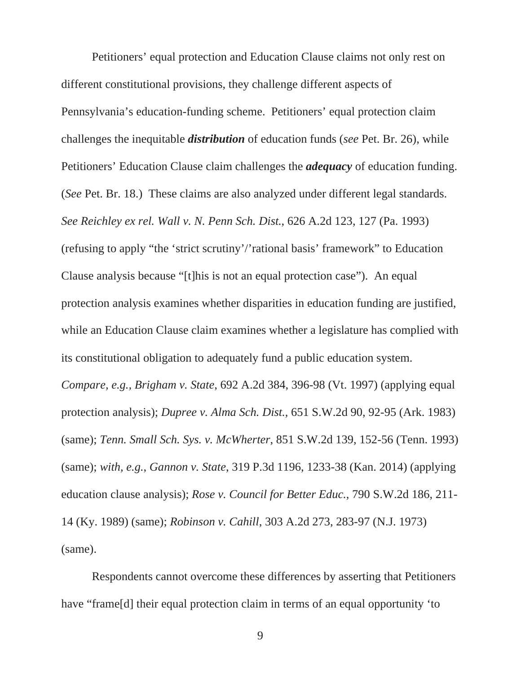Petitioners' equal protection and Education Clause claims not only rest on different constitutional provisions, they challenge different aspects of Pennsylvania's education-funding scheme. Petitioners' equal protection claim challenges the inequitable *distribution* of education funds (*see* Pet. Br. 26), while Petitioners' Education Clause claim challenges the *adequacy* of education funding. (*See* Pet. Br. 18.) These claims are also analyzed under different legal standards. *See Reichley ex rel. Wall v. N. Penn Sch. Dist.*, 626 A.2d 123, 127 (Pa. 1993) (refusing to apply "the 'strict scrutiny'/'rational basis' framework" to Education Clause analysis because "[t]his is not an equal protection case"). An equal protection analysis examines whether disparities in education funding are justified, while an Education Clause claim examines whether a legislature has complied with its constitutional obligation to adequately fund a public education system.

*Compare, e.g., Brigham v. State*, 692 A.2d 384, 396-98 (Vt. 1997) (applying equal protection analysis); *Dupree v. Alma Sch. Dist.*, 651 S.W.2d 90, 92-95 (Ark. 1983) (same); *Tenn. Small Sch. Sys. v. McWherter*, 851 S.W.2d 139, 152-56 (Tenn. 1993) (same); *with, e.g.*, *Gannon v. State*, 319 P.3d 1196, 1233-38 (Kan. 2014) (applying education clause analysis); *Rose v. Council for Better Educ.*, 790 S.W.2d 186, 211- 14 (Ky. 1989) (same); *Robinson v. Cahill*, 303 A.2d 273, 283-97 (N.J. 1973) (same).

Respondents cannot overcome these differences by asserting that Petitioners have "frame [d] their equal protection claim in terms of an equal opportunity 'to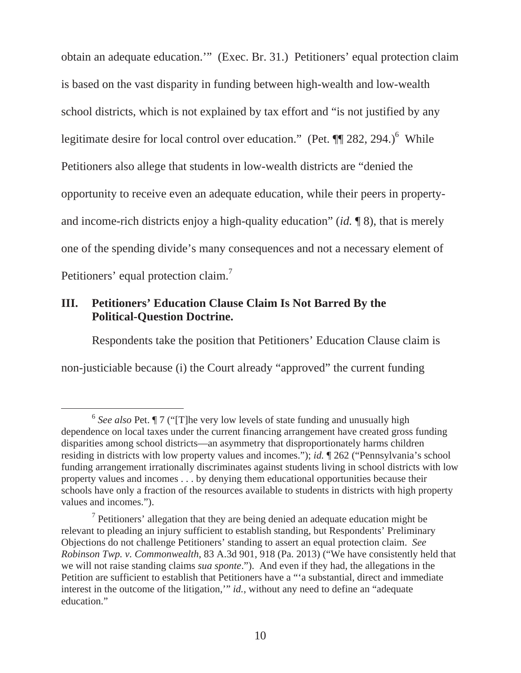obtain an adequate education.'" (Exec. Br. 31.) Petitioners' equal protection claim is based on the vast disparity in funding between high-wealth and low-wealth school districts, which is not explained by tax effort and "is not justified by any legitimate desire for local control over education." (Pet.  $\P$  282, 294.)<sup>6</sup> While Petitioners also allege that students in low-wealth districts are "denied the opportunity to receive even an adequate education, while their peers in propertyand income-rich districts enjoy a high-quality education" (*id.* ¶ 8), that is merely one of the spending divide's many consequences and not a necessary element of Petitioners' equal protection claim.<sup>7</sup>

### **III. Petitioners' Education Clause Claim Is Not Barred By the Political-Question Doctrine.**

Respondents take the position that Petitioners' Education Clause claim is non-justiciable because (i) the Court already "approved" the current funding

 <sup>6</sup> *See also* Pet. ¶ 7 ("[T]he very low levels of state funding and unusually high dependence on local taxes under the current financing arrangement have created gross funding disparities among school districts—an asymmetry that disproportionately harms children residing in districts with low property values and incomes."); *id.* ¶ 262 ("Pennsylvania's school funding arrangement irrationally discriminates against students living in school districts with low property values and incomes . . . by denying them educational opportunities because their schools have only a fraction of the resources available to students in districts with high property values and incomes.").

 $<sup>7</sup>$  Petitioners' allegation that they are being denied an adequate education might be</sup> relevant to pleading an injury sufficient to establish standing, but Respondents' Preliminary Objections do not challenge Petitioners' standing to assert an equal protection claim. *See Robinson Twp. v. Commonwealth*, 83 A.3d 901, 918 (Pa. 2013) ("We have consistently held that we will not raise standing claims *sua sponte*."). And even if they had, the allegations in the Petition are sufficient to establish that Petitioners have a "'a substantial, direct and immediate interest in the outcome of the litigation,'" *id.*, without any need to define an "adequate education."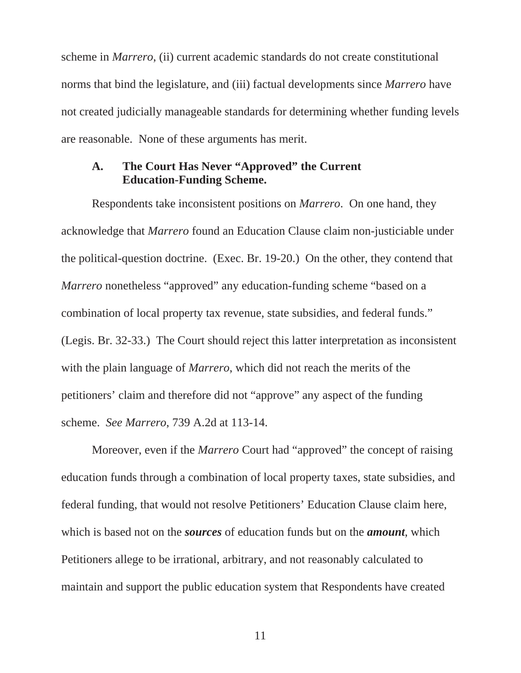scheme in *Marrero*, (ii) current academic standards do not create constitutional norms that bind the legislature, and (iii) factual developments since *Marrero* have not created judicially manageable standards for determining whether funding levels are reasonable. None of these arguments has merit.

### **A. The Court Has Never "Approved" the Current Education-Funding Scheme.**

Respondents take inconsistent positions on *Marrero*. On one hand, they acknowledge that *Marrero* found an Education Clause claim non-justiciable under the political-question doctrine. (Exec. Br. 19-20.) On the other, they contend that *Marrero* nonetheless "approved" any education-funding scheme "based on a combination of local property tax revenue, state subsidies, and federal funds." (Legis. Br. 32-33.) The Court should reject this latter interpretation as inconsistent with the plain language of *Marrero*, which did not reach the merits of the petitioners' claim and therefore did not "approve" any aspect of the funding scheme. *See Marrero*, 739 A.2d at 113-14.

Moreover, even if the *Marrero* Court had "approved" the concept of raising education funds through a combination of local property taxes, state subsidies, and federal funding, that would not resolve Petitioners' Education Clause claim here, which is based not on the *sources* of education funds but on the *amount*, which Petitioners allege to be irrational, arbitrary, and not reasonably calculated to maintain and support the public education system that Respondents have created

11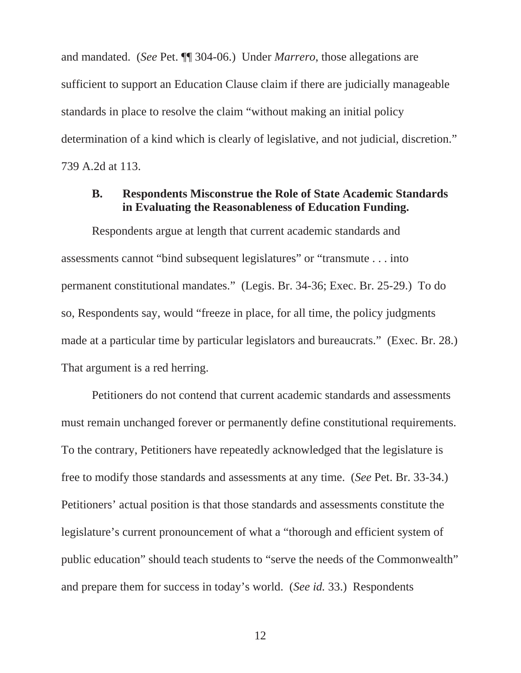and mandated. (*See* Pet. ¶¶ 304-06.) Under *Marrero*, those allegations are sufficient to support an Education Clause claim if there are judicially manageable standards in place to resolve the claim "without making an initial policy determination of a kind which is clearly of legislative, and not judicial, discretion." 739 A.2d at 113.

#### **B. Respondents Misconstrue the Role of State Academic Standards in Evaluating the Reasonableness of Education Funding.**

Respondents argue at length that current academic standards and assessments cannot "bind subsequent legislatures" or "transmute . . . into permanent constitutional mandates." (Legis. Br. 34-36; Exec. Br. 25-29.) To do so, Respondents say, would "freeze in place, for all time, the policy judgments made at a particular time by particular legislators and bureaucrats." (Exec. Br. 28.) That argument is a red herring.

Petitioners do not contend that current academic standards and assessments must remain unchanged forever or permanently define constitutional requirements. To the contrary, Petitioners have repeatedly acknowledged that the legislature is free to modify those standards and assessments at any time. (*See* Pet. Br. 33-34.) Petitioners' actual position is that those standards and assessments constitute the legislature's current pronouncement of what a "thorough and efficient system of public education" should teach students to "serve the needs of the Commonwealth" and prepare them for success in today's world. (*See id.* 33.) Respondents

12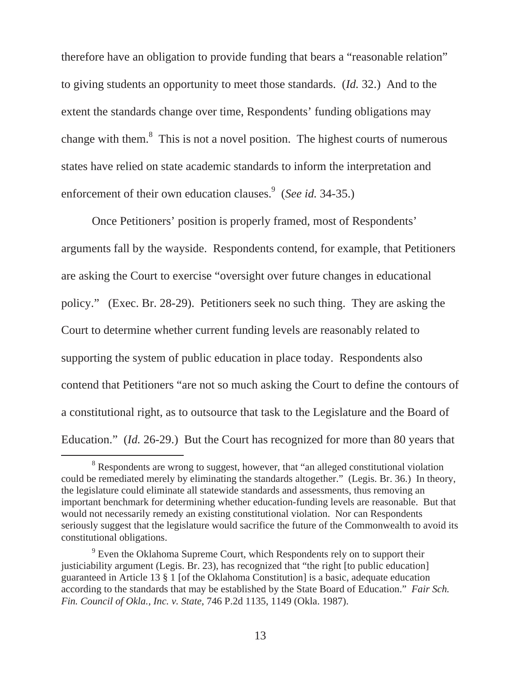therefore have an obligation to provide funding that bears a "reasonable relation" to giving students an opportunity to meet those standards. (*Id.* 32.) And to the extent the standards change over time, Respondents' funding obligations may change with them. $8$  This is not a novel position. The highest courts of numerous states have relied on state academic standards to inform the interpretation and enforcement of their own education clauses.<sup>9</sup> (*See id.* 34-35.)

Once Petitioners' position is properly framed, most of Respondents' arguments fall by the wayside. Respondents contend, for example, that Petitioners are asking the Court to exercise "oversight over future changes in educational policy." (Exec. Br. 28-29). Petitioners seek no such thing. They are asking the Court to determine whether current funding levels are reasonably related to supporting the system of public education in place today. Respondents also contend that Petitioners "are not so much asking the Court to define the contours of a constitutional right, as to outsource that task to the Legislature and the Board of Education." *(Id.* 26-29.) But the Court has recognized for more than 80 years that

 <sup>8</sup> <sup>8</sup> Respondents are wrong to suggest, however, that "an alleged constitutional violation could be remediated merely by eliminating the standards altogether." (Legis. Br. 36.) In theory, the legislature could eliminate all statewide standards and assessments, thus removing an important benchmark for determining whether education-funding levels are reasonable. But that would not necessarily remedy an existing constitutional violation. Nor can Respondents seriously suggest that the legislature would sacrifice the future of the Commonwealth to avoid its constitutional obligations.

<sup>&</sup>lt;sup>9</sup> Even the Oklahoma Supreme Court, which Respondents rely on to support their justiciability argument (Legis. Br. 23), has recognized that "the right [to public education] guaranteed in Article 13 § 1 [of the Oklahoma Constitution] is a basic, adequate education according to the standards that may be established by the State Board of Education." *Fair Sch. Fin. Council of Okla., Inc. v. State*, 746 P.2d 1135, 1149 (Okla. 1987).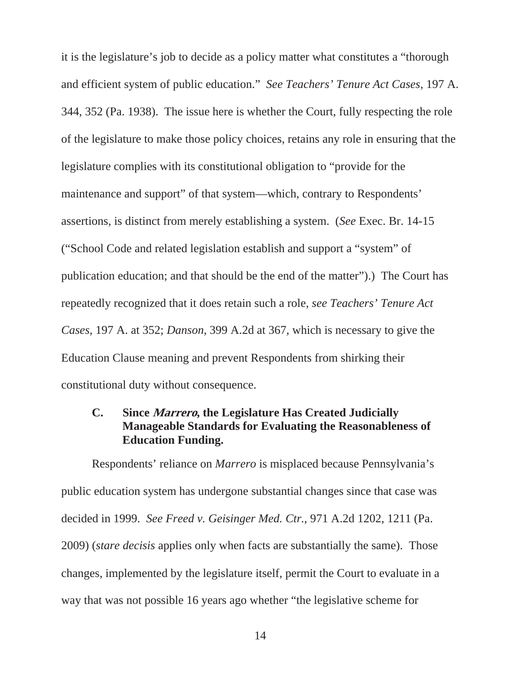it is the legislature's job to decide as a policy matter what constitutes a "thorough and efficient system of public education." *See Teachers' Tenure Act Cases*, 197 A. 344, 352 (Pa. 1938). The issue here is whether the Court, fully respecting the role of the legislature to make those policy choices, retains any role in ensuring that the legislature complies with its constitutional obligation to "provide for the maintenance and support" of that system—which, contrary to Respondents' assertions, is distinct from merely establishing a system. (*See* Exec. Br. 14-15 ("School Code and related legislation establish and support a "system" of publication education; and that should be the end of the matter").) The Court has repeatedly recognized that it does retain such a role, *see Teachers' Tenure Act Cases*, 197 A. at 352; *Danson*, 399 A.2d at 367, which is necessary to give the Education Clause meaning and prevent Respondents from shirking their constitutional duty without consequence.

### **C. Since Marrero, the Legislature Has Created Judicially Manageable Standards for Evaluating the Reasonableness of Education Funding.**

Respondents' reliance on *Marrero* is misplaced because Pennsylvania's public education system has undergone substantial changes since that case was decided in 1999. *See Freed v. Geisinger Med. Ctr.*, 971 A.2d 1202, 1211 (Pa. 2009) (*stare decisis* applies only when facts are substantially the same). Those changes, implemented by the legislature itself, permit the Court to evaluate in a way that was not possible 16 years ago whether "the legislative scheme for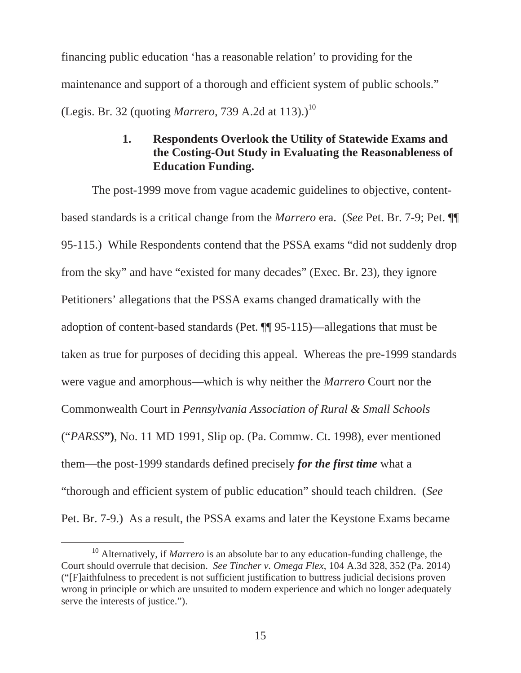financing public education 'has a reasonable relation' to providing for the maintenance and support of a thorough and efficient system of public schools." (Legis. Br. 32 (quoting *Marrero*, 739 A.2d at 113).)<sup>10</sup>

### **1. Respondents Overlook the Utility of Statewide Exams and the Costing-Out Study in Evaluating the Reasonableness of Education Funding.**

The post-1999 move from vague academic guidelines to objective, contentbased standards is a critical change from the *Marrero* era. (*See* Pet. Br. 7-9; Pet. ¶¶ 95-115.) While Respondents contend that the PSSA exams "did not suddenly drop from the sky" and have "existed for many decades" (Exec. Br. 23), they ignore Petitioners' allegations that the PSSA exams changed dramatically with the adoption of content-based standards (Pet. ¶¶ 95-115)—allegations that must be taken as true for purposes of deciding this appeal. Whereas the pre-1999 standards were vague and amorphous—which is why neither the *Marrero* Court nor the Commonwealth Court in *Pennsylvania Association of Rural & Small Schools*  ("*PARSS***")**, No. 11 MD 1991, Slip op. (Pa. Commw. Ct. 1998), ever mentioned them—the post-1999 standards defined precisely *for the first time* what a "thorough and efficient system of public education" should teach children. (*See* Pet. Br. 7-9.) As a result, the PSSA exams and later the Keystone Exams became

 <sup>10</sup> Alternatively, if *Marrero* is an absolute bar to any education-funding challenge, the Court should overrule that decision. *See Tincher v. Omega Flex*, 104 A.3d 328, 352 (Pa. 2014) ("[F]aithfulness to precedent is not sufficient justification to buttress judicial decisions proven wrong in principle or which are unsuited to modern experience and which no longer adequately serve the interests of justice.").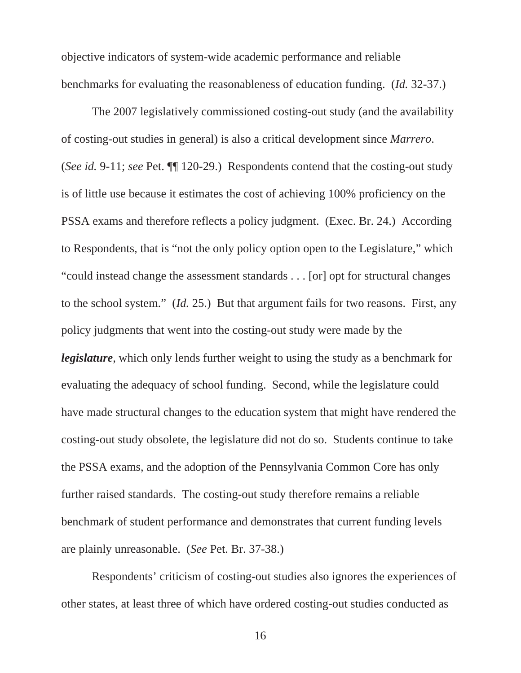objective indicators of system-wide academic performance and reliable benchmarks for evaluating the reasonableness of education funding. (*Id.* 32-37.)

The 2007 legislatively commissioned costing-out study (and the availability of costing-out studies in general) is also a critical development since *Marrero*. (*See id.* 9-11; *see* Pet. ¶¶ 120-29.) Respondents contend that the costing-out study is of little use because it estimates the cost of achieving 100% proficiency on the PSSA exams and therefore reflects a policy judgment. (Exec. Br. 24.) According to Respondents, that is "not the only policy option open to the Legislature," which "could instead change the assessment standards . . . [or] opt for structural changes to the school system." (*Id.* 25.) But that argument fails for two reasons. First, any policy judgments that went into the costing-out study were made by the *legislature*, which only lends further weight to using the study as a benchmark for evaluating the adequacy of school funding. Second, while the legislature could have made structural changes to the education system that might have rendered the costing-out study obsolete, the legislature did not do so. Students continue to take the PSSA exams, and the adoption of the Pennsylvania Common Core has only further raised standards. The costing-out study therefore remains a reliable benchmark of student performance and demonstrates that current funding levels are plainly unreasonable. (*See* Pet. Br. 37-38.)

Respondents' criticism of costing-out studies also ignores the experiences of other states, at least three of which have ordered costing-out studies conducted as

16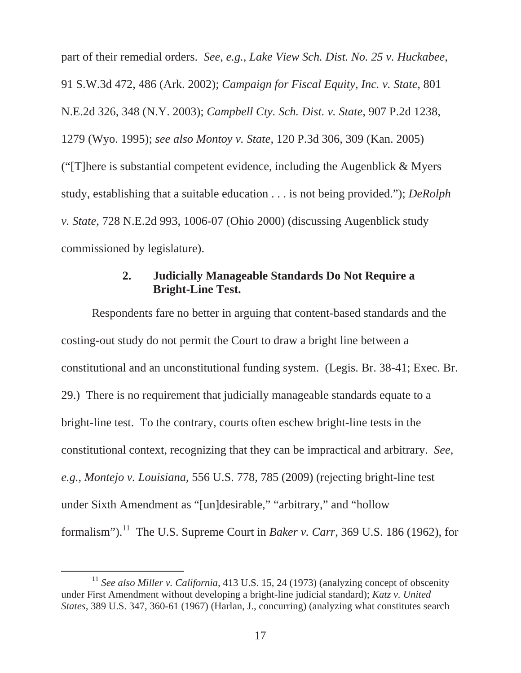part of their remedial orders. *See, e.g., Lake View Sch. Dist. No. 25 v. Huckabee*, 91 S.W.3d 472, 486 (Ark. 2002); *Campaign for Fiscal Equity, Inc. v. State*, 801 N.E.2d 326, 348 (N.Y. 2003); *Campbell Cty. Sch. Dist. v. State*, 907 P.2d 1238, 1279 (Wyo. 1995); *see also Montoy v. State*, 120 P.3d 306, 309 (Kan. 2005) ("[T]here is substantial competent evidence, including the Augenblick & Myers study, establishing that a suitable education . . . is not being provided."); *DeRolph v. State*, 728 N.E.2d 993, 1006-07 (Ohio 2000) (discussing Augenblick study commissioned by legislature).

### **2. Judicially Manageable Standards Do Not Require a Bright-Line Test.**

Respondents fare no better in arguing that content-based standards and the costing-out study do not permit the Court to draw a bright line between a constitutional and an unconstitutional funding system. (Legis. Br. 38-41; Exec. Br. 29.) There is no requirement that judicially manageable standards equate to a bright-line test. To the contrary, courts often eschew bright-line tests in the constitutional context, recognizing that they can be impractical and arbitrary. *See, e.g.*, *Montejo v. Louisiana*, 556 U.S. 778, 785 (2009) (rejecting bright-line test under Sixth Amendment as "[un]desirable," "arbitrary," and "hollow formalism").<sup>11</sup> The U.S. Supreme Court in *Baker v. Carr*, 369 U.S. 186 (1962), for

<sup>&</sup>lt;sup>11</sup> See also Miller v. California, 413 U.S. 15, 24 (1973) (analyzing concept of obscenity under First Amendment without developing a bright-line judicial standard); *Katz v. United States*, 389 U.S. 347, 360-61 (1967) (Harlan, J., concurring) (analyzing what constitutes search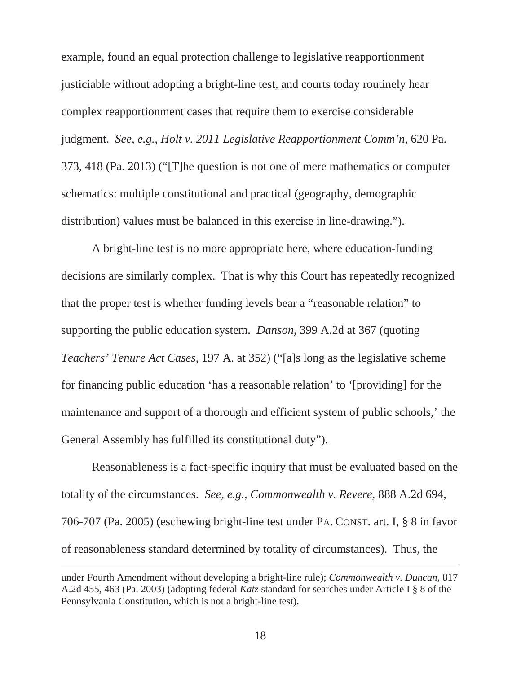example, found an equal protection challenge to legislative reapportionment justiciable without adopting a bright-line test, and courts today routinely hear complex reapportionment cases that require them to exercise considerable judgment. *See, e.g.*, *Holt v. 2011 Legislative Reapportionment Comm'n*, 620 Pa. 373, 418 (Pa. 2013) ("[T]he question is not one of mere mathematics or computer schematics: multiple constitutional and practical (geography, demographic distribution) values must be balanced in this exercise in line-drawing.").

A bright-line test is no more appropriate here, where education-funding decisions are similarly complex. That is why this Court has repeatedly recognized that the proper test is whether funding levels bear a "reasonable relation" to supporting the public education system. *Danson*, 399 A.2d at 367 (quoting *Teachers' Tenure Act Cases*, 197 A. at 352) ("[a]s long as the legislative scheme for financing public education 'has a reasonable relation' to '[providing] for the maintenance and support of a thorough and efficient system of public schools,' the General Assembly has fulfilled its constitutional duty").

Reasonableness is a fact-specific inquiry that must be evaluated based on the totality of the circumstances. *See, e.g.*, *Commonwealth v. Revere*, 888 A.2d 694, 706-707 (Pa. 2005) (eschewing bright-line test under PA. CONST. art. I, § 8 in favor of reasonableness standard determined by totality of circumstances). Thus, the

 $\overline{a}$ 

under Fourth Amendment without developing a bright-line rule); *Commonwealth v. Duncan*, 817 A.2d 455, 463 (Pa. 2003) (adopting federal *Katz* standard for searches under Article I § 8 of the Pennsylvania Constitution, which is not a bright-line test).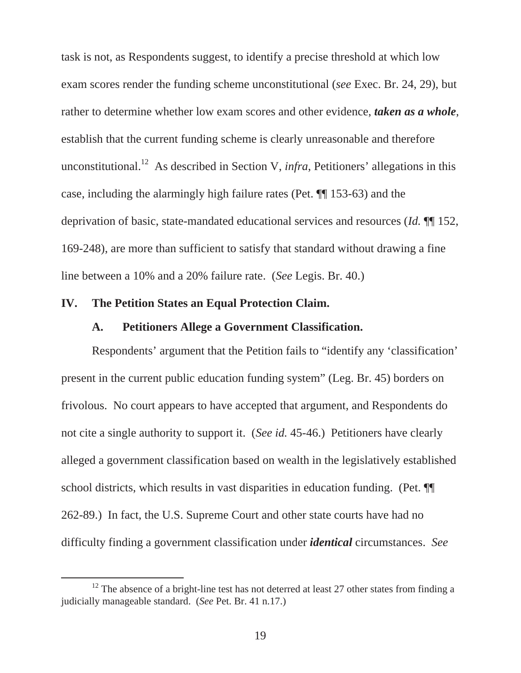task is not, as Respondents suggest, to identify a precise threshold at which low exam scores render the funding scheme unconstitutional (*see* Exec. Br. 24, 29), but rather to determine whether low exam scores and other evidence, *taken as a whole*, establish that the current funding scheme is clearly unreasonable and therefore unconstitutional.<sup>12</sup> As described in Section V, *infra*, Petitioners' allegations in this case, including the alarmingly high failure rates (Pet. ¶¶ 153-63) and the deprivation of basic, state-mandated educational services and resources (*Id.* ¶¶ 152, 169-248), are more than sufficient to satisfy that standard without drawing a fine line between a 10% and a 20% failure rate. (*See* Legis. Br. 40.)

#### **IV. The Petition States an Equal Protection Claim.**

#### **A. Petitioners Allege a Government Classification.**

Respondents' argument that the Petition fails to "identify any 'classification' present in the current public education funding system" (Leg. Br. 45) borders on frivolous. No court appears to have accepted that argument, and Respondents do not cite a single authority to support it. (*See id.* 45-46.) Petitioners have clearly alleged a government classification based on wealth in the legislatively established school districts, which results in vast disparities in education funding. (Pet. ¶¶ 262-89.) In fact, the U.S. Supreme Court and other state courts have had no difficulty finding a government classification under *identical* circumstances. *See* 

 $12$  The absence of a bright-line test has not deterred at least 27 other states from finding a judicially manageable standard. (*See* Pet. Br. 41 n.17.)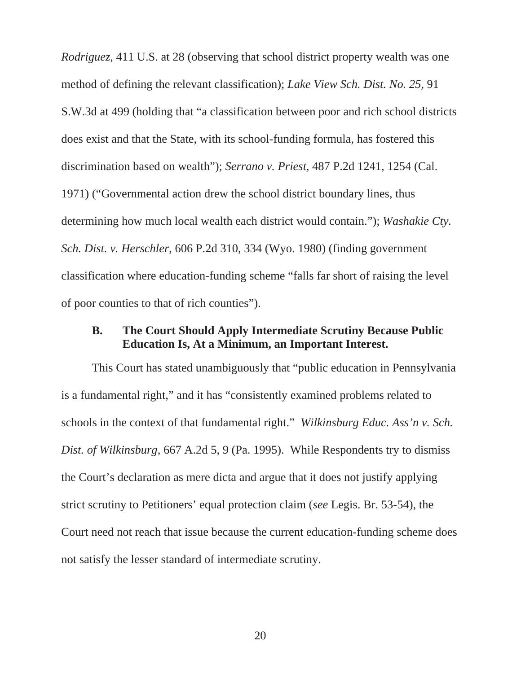*Rodriguez*, 411 U.S. at 28 (observing that school district property wealth was one method of defining the relevant classification); *Lake View Sch. Dist. No. 25*, 91 S.W.3d at 499 (holding that "a classification between poor and rich school districts does exist and that the State, with its school-funding formula, has fostered this discrimination based on wealth"); *Serrano v. Priest*, 487 P.2d 1241, 1254 (Cal. 1971) ("Governmental action drew the school district boundary lines, thus determining how much local wealth each district would contain."); *Washakie Cty. Sch. Dist. v. Herschler*, 606 P.2d 310, 334 (Wyo. 1980) (finding government classification where education-funding scheme "falls far short of raising the level of poor counties to that of rich counties").

#### **B. The Court Should Apply Intermediate Scrutiny Because Public Education Is, At a Minimum, an Important Interest.**

This Court has stated unambiguously that "public education in Pennsylvania is a fundamental right," and it has "consistently examined problems related to schools in the context of that fundamental right." *Wilkinsburg Educ. Ass'n v. Sch. Dist. of Wilkinsburg*, 667 A.2d 5, 9 (Pa. 1995). While Respondents try to dismiss the Court's declaration as mere dicta and argue that it does not justify applying strict scrutiny to Petitioners' equal protection claim (*see* Legis. Br. 53-54), the Court need not reach that issue because the current education-funding scheme does not satisfy the lesser standard of intermediate scrutiny.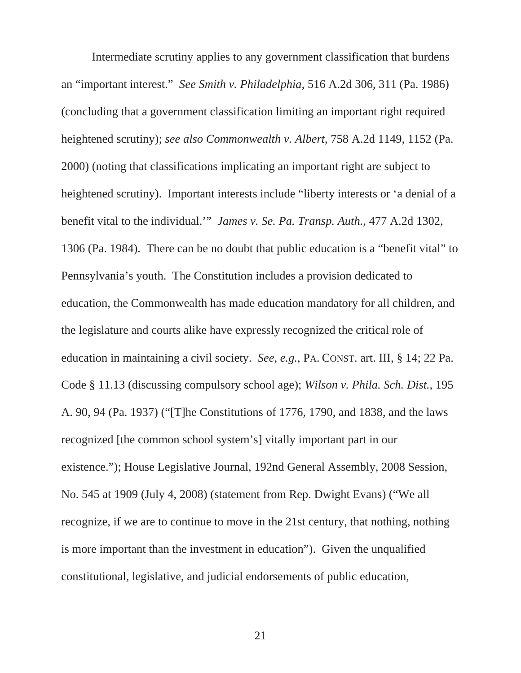Intermediate scrutiny applies to any government classification that burdens an "important interest." *See Smith v. Philadelphia*, 516 A.2d 306, 311 (Pa. 1986) (concluding that a government classification limiting an important right required heightened scrutiny); *see also Commonwealth v. Albert*, 758 A.2d 1149, 1152 (Pa. 2000) (noting that classifications implicating an important right are subject to heightened scrutiny). Important interests include "liberty interests or 'a denial of a benefit vital to the individual.'" *James v. Se. Pa. Transp. Auth.*, 477 A.2d 1302, 1306 (Pa. 1984). There can be no doubt that public education is a "benefit vital" to Pennsylvania's youth. The Constitution includes a provision dedicated to education, the Commonwealth has made education mandatory for all children, and the legislature and courts alike have expressly recognized the critical role of education in maintaining a civil society. *See, e.g.*, PA. CONST. art. III, § 14; 22 Pa. Code § 11.13 (discussing compulsory school age); *Wilson v. Phila. Sch. Dist.*, 195 A. 90, 94 (Pa. 1937) ("[T]he Constitutions of 1776, 1790, and 1838, and the laws recognized [the common school system's] vitally important part in our existence."); House Legislative Journal, 192nd General Assembly, 2008 Session, No. 545 at 1909 (July 4, 2008) (statement from Rep. Dwight Evans) ("We all recognize, if we are to continue to move in the 21st century, that nothing, nothing is more important than the investment in education"). Given the unqualified constitutional, legislative, and judicial endorsements of public education,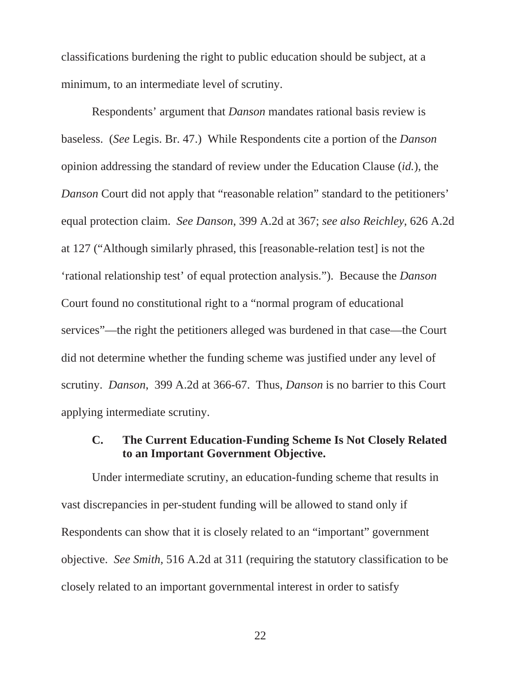classifications burdening the right to public education should be subject, at a minimum, to an intermediate level of scrutiny.

Respondents' argument that *Danson* mandates rational basis review is baseless. (*See* Legis. Br. 47.) While Respondents cite a portion of the *Danson* opinion addressing the standard of review under the Education Clause (*id.*), the *Danson* Court did not apply that "reasonable relation" standard to the petitioners' equal protection claim. *See Danson*, 399 A.2d at 367; *see also Reichley*, 626 A.2d at 127 ("Although similarly phrased, this [reasonable-relation test] is not the 'rational relationship test' of equal protection analysis."). Because the *Danson* Court found no constitutional right to a "normal program of educational services"—the right the petitioners alleged was burdened in that case—the Court did not determine whether the funding scheme was justified under any level of scrutiny. *Danson*, 399 A.2d at 366-67. Thus, *Danson* is no barrier to this Court applying intermediate scrutiny.

### **C. The Current Education-Funding Scheme Is Not Closely Related to an Important Government Objective.**

Under intermediate scrutiny, an education-funding scheme that results in vast discrepancies in per-student funding will be allowed to stand only if Respondents can show that it is closely related to an "important" government objective. *See Smith,* 516 A.2d at 311 (requiring the statutory classification to be closely related to an important governmental interest in order to satisfy

22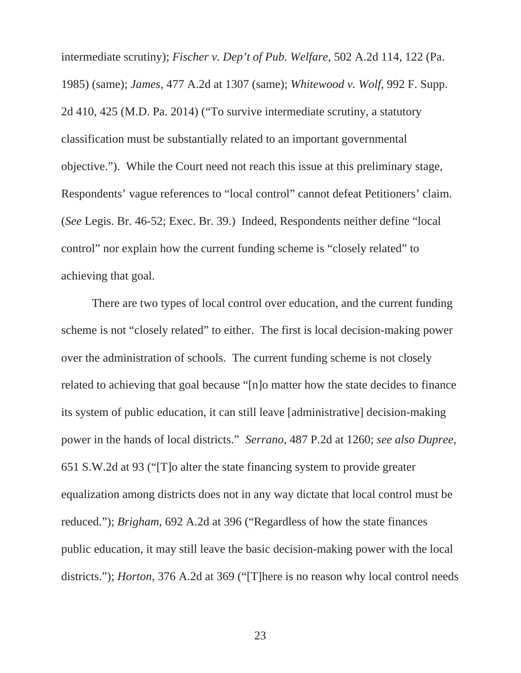intermediate scrutiny); *Fischer v. Dep't of Pub. Welfare,* 502 A.2d 114, 122 (Pa. 1985) (same); *James*, 477 A.2d at 1307 (same); *Whitewood v. Wolf,* 992 F. Supp. 2d 410, 425 (M.D. Pa. 2014) ("To survive intermediate scrutiny, a statutory classification must be substantially related to an important governmental objective."). While the Court need not reach this issue at this preliminary stage, Respondents' vague references to "local control" cannot defeat Petitioners' claim. (*See* Legis. Br. 46-52; Exec. Br. 39.) Indeed, Respondents neither define "local control" nor explain how the current funding scheme is "closely related" to achieving that goal.

There are two types of local control over education, and the current funding scheme is not "closely related" to either. The first is local decision-making power over the administration of schools. The current funding scheme is not closely related to achieving that goal because "[n]o matter how the state decides to finance its system of public education, it can still leave [administrative] decision-making power in the hands of local districts." *Serrano,* 487 P.2d at 1260; *see also Dupree*, 651 S.W.2d at 93 ("[T]o alter the state financing system to provide greater equalization among districts does not in any way dictate that local control must be reduced."); *Brigham,* 692 A.2d at 396 ("Regardless of how the state finances public education, it may still leave the basic decision-making power with the local districts."); *Horton*, 376 A.2d at 369 ("[T]here is no reason why local control needs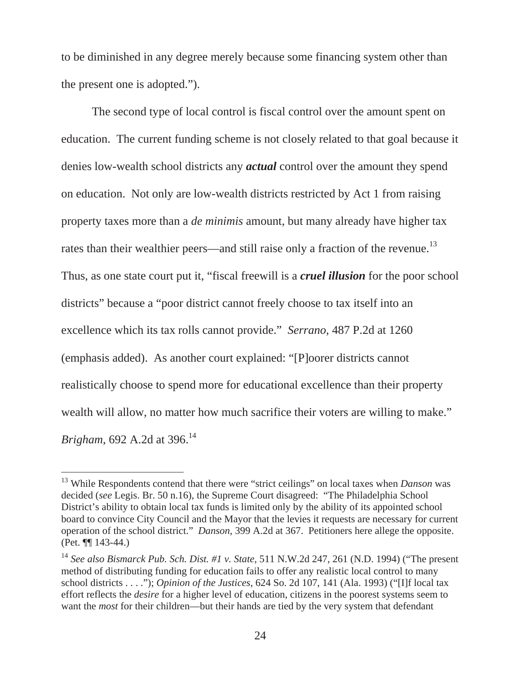to be diminished in any degree merely because some financing system other than the present one is adopted.").

The second type of local control is fiscal control over the amount spent on education. The current funding scheme is not closely related to that goal because it denies low-wealth school districts any *actual* control over the amount they spend on education. Not only are low-wealth districts restricted by Act 1 from raising property taxes more than a *de minimis* amount, but many already have higher tax rates than their wealthier peers—and still raise only a fraction of the revenue.<sup>13</sup> Thus, as one state court put it, "fiscal freewill is a *cruel illusion* for the poor school districts" because a "poor district cannot freely choose to tax itself into an excellence which its tax rolls cannot provide." *Serrano*, 487 P.2d at 1260 (emphasis added). As another court explained: "[P]oorer districts cannot realistically choose to spend more for educational excellence than their property wealth will allow, no matter how much sacrifice their voters are willing to make." *Brigham*, 692 A.2d at 396.<sup>14</sup>

 $\overline{a}$ 

<sup>13</sup> While Respondents contend that there were "strict ceilings" on local taxes when *Danson* was decided (*see* Legis. Br. 50 n.16), the Supreme Court disagreed: "The Philadelphia School District's ability to obtain local tax funds is limited only by the ability of its appointed school board to convince City Council and the Mayor that the levies it requests are necessary for current operation of the school district." *Danson*, 399 A.2d at 367. Petitioners here allege the opposite. (Pet. ¶¶ 143-44.)

<sup>14</sup> *See also Bismarck Pub. Sch. Dist. #1 v. State*, 511 N.W.2d 247, 261 (N.D. 1994) ("The present method of distributing funding for education fails to offer any realistic local control to many school districts . . . ."); *Opinion of the Justices*, 624 So. 2d 107, 141 (Ala. 1993) ("[I]f local tax effort reflects the *desire* for a higher level of education, citizens in the poorest systems seem to want the *most* for their children—but their hands are tied by the very system that defendant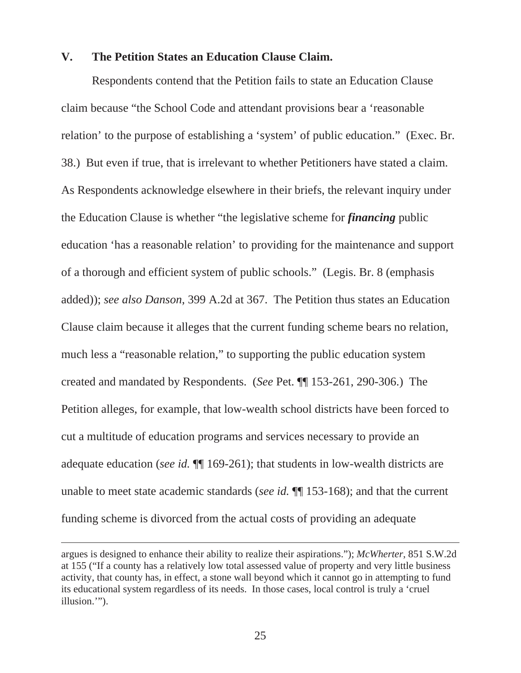#### **V. The Petition States an Education Clause Claim.**

Respondents contend that the Petition fails to state an Education Clause claim because "the School Code and attendant provisions bear a 'reasonable relation' to the purpose of establishing a 'system' of public education." (Exec. Br. 38.) But even if true, that is irrelevant to whether Petitioners have stated a claim. As Respondents acknowledge elsewhere in their briefs, the relevant inquiry under the Education Clause is whether "the legislative scheme for *financing* public education 'has a reasonable relation' to providing for the maintenance and support of a thorough and efficient system of public schools." (Legis. Br. 8 (emphasis added)); *see also Danson*, 399 A.2d at 367. The Petition thus states an Education Clause claim because it alleges that the current funding scheme bears no relation, much less a "reasonable relation," to supporting the public education system created and mandated by Respondents. (*See* Pet. ¶¶ 153-261, 290-306.) The Petition alleges, for example, that low-wealth school districts have been forced to cut a multitude of education programs and services necessary to provide an adequate education (*see id.* ¶¶ 169-261); that students in low-wealth districts are unable to meet state academic standards (*see id.* ¶¶ 153-168); and that the current funding scheme is divorced from the actual costs of providing an adequate

 $\overline{a}$ 

argues is designed to enhance their ability to realize their aspirations."); *McWherter*, 851 S.W.2d at 155 ("If a county has a relatively low total assessed value of property and very little business activity, that county has, in effect, a stone wall beyond which it cannot go in attempting to fund its educational system regardless of its needs. In those cases, local control is truly a 'cruel illusion.'").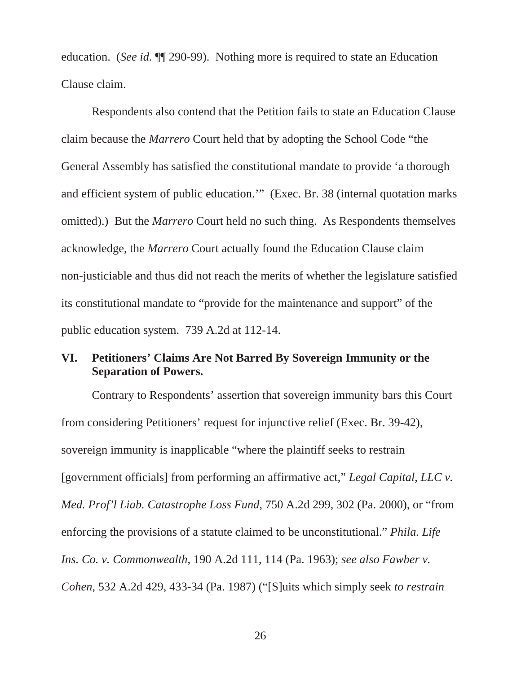education. (*See id.* ¶ 290-99). Nothing more is required to state an Education Clause claim.

Respondents also contend that the Petition fails to state an Education Clause claim because the *Marrero* Court held that by adopting the School Code "the General Assembly has satisfied the constitutional mandate to provide 'a thorough and efficient system of public education.'" (Exec. Br. 38 (internal quotation marks omitted).) But the *Marrero* Court held no such thing. As Respondents themselves acknowledge, the *Marrero* Court actually found the Education Clause claim non-justiciable and thus did not reach the merits of whether the legislature satisfied its constitutional mandate to "provide for the maintenance and support" of the public education system. 739 A.2d at 112-14.

#### **VI. Petitioners' Claims Are Not Barred By Sovereign Immunity or the Separation of Powers.**

 Contrary to Respondents' assertion that sovereign immunity bars this Court from considering Petitioners' request for injunctive relief (Exec. Br. 39-42), sovereign immunity is inapplicable "where the plaintiff seeks to restrain [government officials] from performing an affirmative act," *Legal Capital, LLC v. Med. Prof'l Liab. Catastrophe Loss Fund*, 750 A.2d 299, 302 (Pa. 2000), or "from enforcing the provisions of a statute claimed to be unconstitutional." *Phila. Life Ins. Co. v. Commonwealth*, 190 A.2d 111, 114 (Pa. 1963); *see also Fawber v. Cohen*, 532 A.2d 429, 433-34 (Pa. 1987) ("[S]uits which simply seek *to restrain* 

26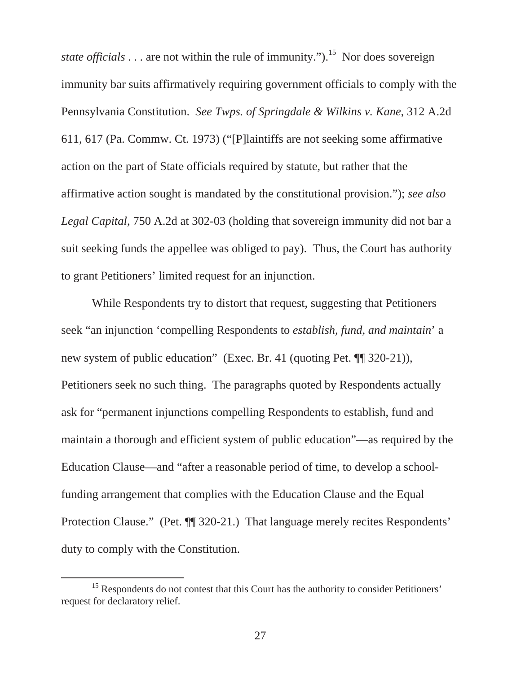*state officials* . . . are not within the rule of immunity.").<sup>15</sup> Nor does sovereign immunity bar suits affirmatively requiring government officials to comply with the Pennsylvania Constitution. *See Twps. of Springdale & Wilkins v. Kane*, 312 A.2d 611, 617 (Pa. Commw. Ct. 1973) ("[P]laintiffs are not seeking some affirmative action on the part of State officials required by statute, but rather that the affirmative action sought is mandated by the constitutional provision."); *see also Legal Capital*, 750 A.2d at 302-03 (holding that sovereign immunity did not bar a suit seeking funds the appellee was obliged to pay). Thus, the Court has authority to grant Petitioners' limited request for an injunction.

 While Respondents try to distort that request, suggesting that Petitioners seek "an injunction 'compelling Respondents to *establish, fund, and maintain*' a new system of public education" (Exec. Br. 41 (quoting Pet. ¶¶ 320-21)), Petitioners seek no such thing. The paragraphs quoted by Respondents actually ask for "permanent injunctions compelling Respondents to establish, fund and maintain a thorough and efficient system of public education"—as required by the Education Clause—and "after a reasonable period of time, to develop a schoolfunding arrangement that complies with the Education Clause and the Equal Protection Clause." (Pet. ¶¶ 320-21.) That language merely recites Respondents' duty to comply with the Constitution.

<sup>&</sup>lt;sup>15</sup> Respondents do not contest that this Court has the authority to consider Petitioners' request for declaratory relief.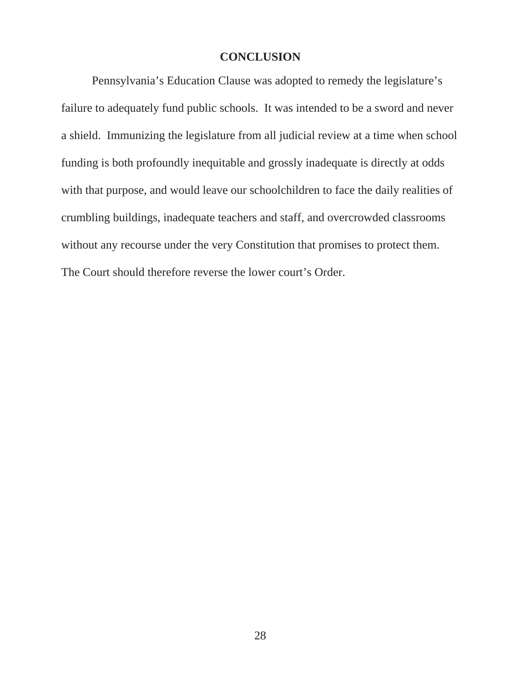### **CONCLUSION**

Pennsylvania's Education Clause was adopted to remedy the legislature's failure to adequately fund public schools. It was intended to be a sword and never a shield. Immunizing the legislature from all judicial review at a time when school funding is both profoundly inequitable and grossly inadequate is directly at odds with that purpose, and would leave our schoolchildren to face the daily realities of crumbling buildings, inadequate teachers and staff, and overcrowded classrooms without any recourse under the very Constitution that promises to protect them. The Court should therefore reverse the lower court's Order.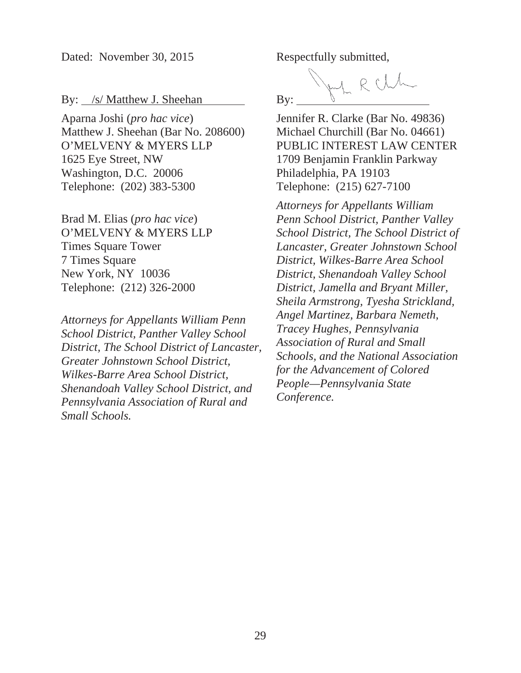Dated: November 30, 2015

By: /s/ Matthew J. Sheehan

Aparna Joshi (*pro hac vice*) Matthew J. Sheehan (Bar No. 208600) O'MELVENY & MYERS LLP 1625 Eye Street, NW Washington, D.C. 20006 Telephone: (202) 383-5300

Brad M. Elias (*pro hac vice*) O'MELVENY & MYERS LLP Times Square Tower 7 Times Square New York, NY 10036 Telephone: (212) 326-2000

*Attorneys for Appellants William Penn School District, Panther Valley School District, The School District of Lancaster, Greater Johnstown School District, Wilkes-Barre Area School District, Shenandoah Valley School District, and Pennsylvania Association of Rural and Small Schools.*

Respectfully submitted,

RCLL By:

Jennifer R. Clarke (Bar No. 49836) Michael Churchill (Bar No. 04661) PUBLIC INTEREST LAW CENTER 1709 Benjamin Franklin Parkway Philadelphia, PA 19103 Telephone: (215) 627-7100

*Attorneys for Appellants William Penn School District, Panther Valley School District, The School District of Lancaster, Greater Johnstown School District, Wilkes-Barre Area School District, Shenandoah Valley School District, Jamella and Bryant Miller, Sheila Armstrong, Tyesha Strickland, Angel Martinez, Barbara Nemeth, Tracey Hughes, Pennsylvania Association of Rural and Small Schools, and the National Association for the Advancement of Colored People—Pennsylvania State Conference.*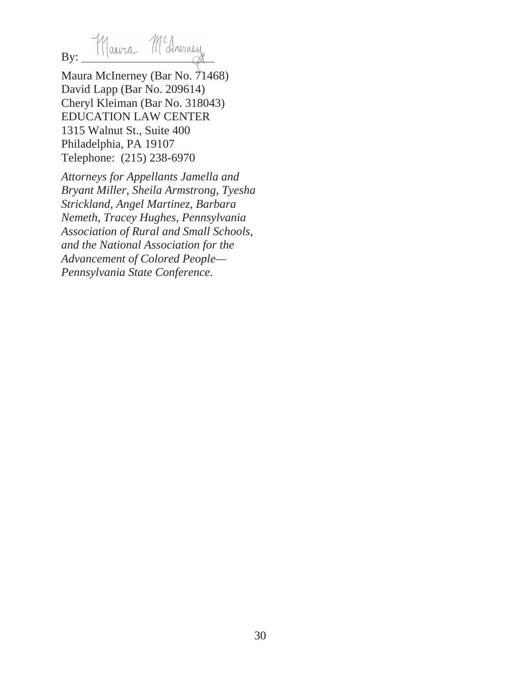By: Maura McAneracy

Maura McInerney (Bar No. 71468) David Lapp (Bar No. 209614) Cheryl Kleiman (Bar No. 318043) EDUCATION LAW CENTER 1315 Walnut St., Suite 400 Philadelphia, PA 19107 Telephone: (215) 238-6970

*Attorneys for Appellants Jamella and Bryant Miller, Sheila Armstrong, Tyesha Strickland, Angel Martinez, Barbara Nemeth, Tracey Hughes, Pennsylvania Association of Rural and Small Schools, and the National Association for the Advancement of Colored People— Pennsylvania State Conference.*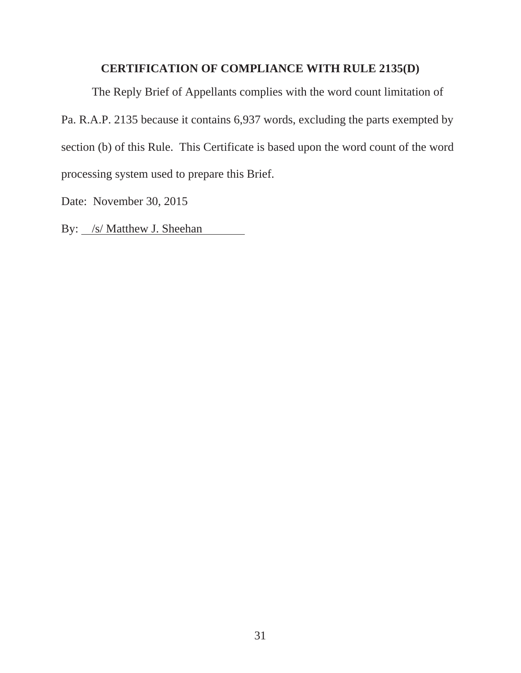### **CERTIFICATION OF COMPLIANCE WITH RULE 2135(D)**

The Reply Brief of Appellants complies with the word count limitation of Pa. R.A.P. 2135 because it contains 6,937 words, excluding the parts exempted by section (b) of this Rule. This Certificate is based upon the word count of the word processing system used to prepare this Brief.

Date: November 30, 2015

By: <u>/s/ Matthew J. Sheehan</u>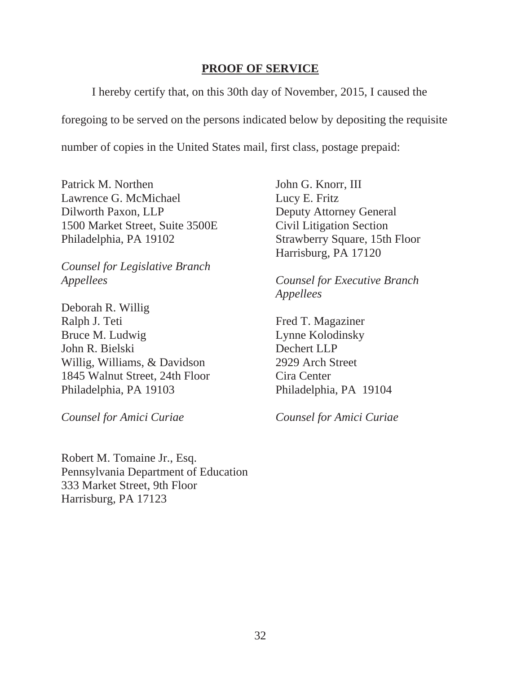#### **PROOF OF SERVICE**

I hereby certify that, on this 30th day of November, 2015, I caused the

foregoing to be served on the persons indicated below by depositing the requisite

number of copies in the United States mail, first class, postage prepaid:

Patrick M. Northen John G. Knorr, III Lawrence G. McMichael Lucy E. Fritz Dilworth Paxon, LLP Deputy Attorney General 1500 Market Street, Suite 3500E Civil Litigation Section Philadelphia, PA 19102 Strawberry Square, 15th Floor

*Counsel for Legislative Branch Appellees Counsel for Executive Branch*

Deborah R. Willig Ralph J. Teti Fred T. Magaziner Bruce M. Ludwig Lynne Kolodinsky John R. Bielski Dechert LLP Willig, Williams, & Davidson 2929 Arch Street 1845 Walnut Street, 24th Floor Cira Center Philadelphia, PA 19103 Philadelphia, PA 19104

Harrisburg, PA 17120

*Appellees*

*Counsel for Amici Curiae Counsel for Amici Curiae* 

Robert M. Tomaine Jr., Esq. Pennsylvania Department of Education 333 Market Street, 9th Floor Harrisburg, PA 17123